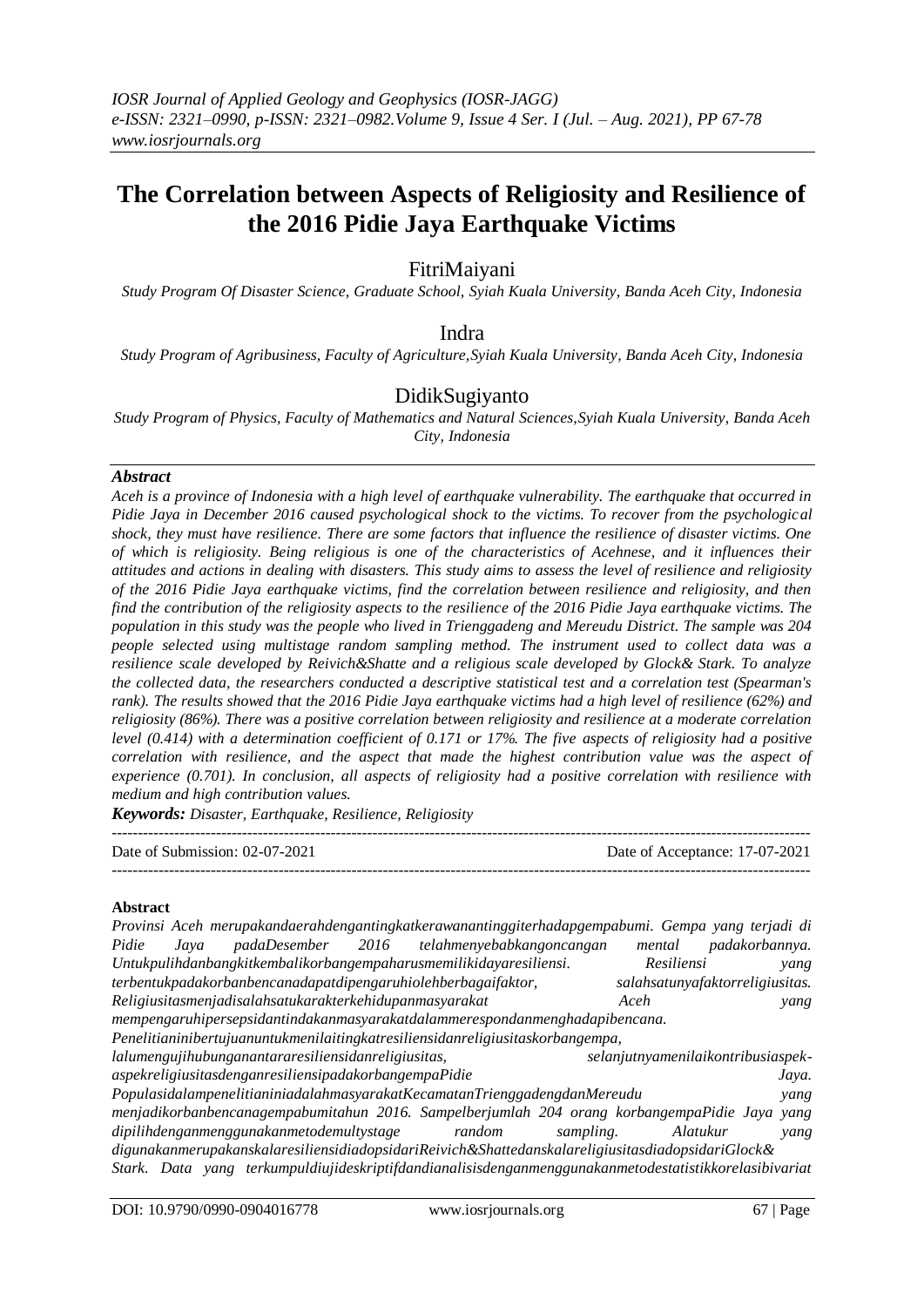# **The Correlation between Aspects of Religiosity and Resilience of the 2016 Pidie Jaya Earthquake Victims**

# FitriMaiyani

*Study Program Of Disaster Science, Graduate School, Syiah Kuala University, Banda Aceh City, Indonesia*

# Indra

*Study Program of Agribusiness, Faculty of Agriculture,Syiah Kuala University, Banda Aceh City, Indonesia*

# DidikSugiyanto

*Study Program of Physics, Faculty of Mathematics and Natural Sciences,Syiah Kuala University, Banda Aceh City, Indonesia*

#### *Abstract*

*Aceh is a province of Indonesia with a high level of earthquake vulnerability. The earthquake that occurred in Pidie Jaya in December 2016 caused psychological shock to the victims. To recover from the psychological shock, they must have resilience. There are some factors that influence the resilience of disaster victims. One of which is religiosity. Being religious is one of the characteristics of Acehnese, and it influences their attitudes and actions in dealing with disasters. This study aims to assess the level of resilience and religiosity of the 2016 Pidie Jaya earthquake victims, find the correlation between resilience and religiosity, and then find the contribution of the religiosity aspects to the resilience of the 2016 Pidie Jaya earthquake victims. The population in this study was the people who lived in Trienggadeng and Mereudu District. The sample was 204 people selected using multistage random sampling method. The instrument used to collect data was a resilience scale developed by Reivich&Shatte and a religious scale developed by Glock& Stark. To analyze the collected data, the researchers conducted a descriptive statistical test and a correlation test (Spearman's rank). The results showed that the 2016 Pidie Jaya earthquake victims had a high level of resilience (62%) and religiosity (86%). There was a positive correlation between religiosity and resilience at a moderate correlation level (0.414) with a determination coefficient of 0.171 or 17%. The five aspects of religiosity had a positive correlation with resilience, and the aspect that made the highest contribution value was the aspect of experience (0.701). In conclusion, all aspects of religiosity had a positive correlation with resilience with medium and high contribution values.*

*Keywords: Disaster, Earthquake, Resilience, Religiosity*

| Date of Submission: $02-07-2021$ | Date of Acceptance: 17-07-2021 |
|----------------------------------|--------------------------------|
|                                  |                                |

#### **Abstract**

|       |      | Provinsi Aceh merupakandaerahdengantingkatkerawanantinggiterhadapgempabumi. Gempa yang terjadi di      |                                             |           |                                    |                |
|-------|------|--------------------------------------------------------------------------------------------------------|---------------------------------------------|-----------|------------------------------------|----------------|
| Pidie | Java |                                                                                                        | padaDesember 2016 telahmenyebabkangoncangan |           | mental                             | padakorbannya. |
|       |      | Untukpulihdanbangkitkembalikorbangempaharusmemilikidayaresiliensi.                                     |                                             |           | Resiliensi                         | yang           |
|       |      | terbentukpadakorbanbencanadapatdipengaruhiolehberbagaifaktor,                                          |                                             |           | salahsatunyafaktorreligiusitas.    |                |
|       |      | Religiusitasmenjadisalahsatukarakterkehidupanmasyarakat                                                |                                             | Aceh      |                                    | yang           |
|       |      | mempengaruhipersepsidantindakanmasyarakatdalammerespondanmenghadapibencana.                            |                                             |           |                                    |                |
|       |      | Penelitianinibertujuanuntukmenilaitingkatresiliensidanreligiusitaskorbangempa,                         |                                             |           |                                    |                |
|       |      | lalumengujihubunganantararesiliensidanreligiusitas,                                                    |                                             |           | selanjutnyamenilaikontribusiaspek- |                |
|       |      | aspekreligiusitasdenganresiliensipadakorbangempaPidie                                                  |                                             |           |                                    | Jaya.          |
|       |      | PopulasidalampenelitianiniadalahmasyarakatKecamatanTrienggadengdanMereudu                              |                                             |           |                                    | yang           |
|       |      | menjadikorbanbencanagempabumitahun 2016. Sampelberjumlah 204 orang korbangempaPidie Jaya yang          |                                             |           |                                    |                |
|       |      | dipilihdenganmenggunakanmetodemultystage                                                               | random                                      | sampling. | Alatukur                           | yang           |
|       |      | digunakanmerupakanskalaresiliensidiadopsidariReivich&ShattedanskalareligiusitasdiadopsidariGlock&      |                                             |           |                                    |                |
|       |      | Stark. Data yang terkumpuldiujideskriptifdandianalisisdenganmenggunakanmetodestatistikkorelasibivariat |                                             |           |                                    |                |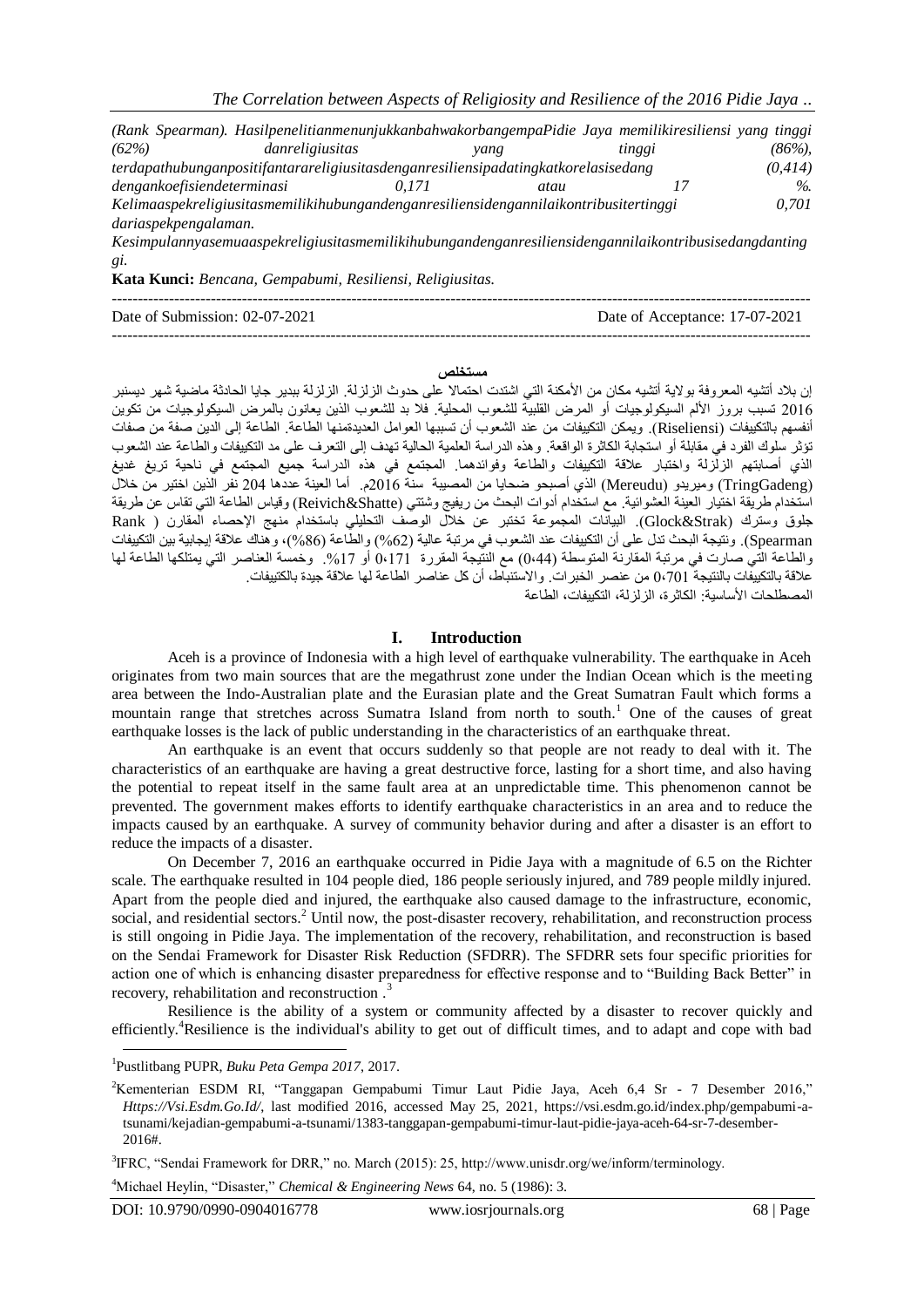|                            | (Rank Spearman). HasilpenelitianmenunjukkanbahwakorbangempaPidie Jaya memilikiresiliensi yang tinggi  |       |      |        |          |
|----------------------------|-------------------------------------------------------------------------------------------------------|-------|------|--------|----------|
| (62%)                      | danreligiusitas                                                                                       |       | vang | tinggi | $(86\%)$ |
|                            | terdapathubunganpositifantarareligiusitasdenganresiliensipadatingkatkorelasisedang                    |       |      |        | (0,414)  |
| dengankoefisiendeterminasi |                                                                                                       | 0.171 | atau |        | $\%$     |
|                            | Kelimaaspekreligiusitasmemilikihubungandenganresiliensidengannilaikontribusitertinggi                 |       |      |        | 0.701    |
| dariaspekpengalaman.       |                                                                                                       |       |      |        |          |
|                            | Kesimpulannyasemuaaspekreligiusitasmemilikihubungandenganresiliensidengannilaikontribusisedangdanting |       |      |        |          |

*gi.* **Kata Kunci:** *Bencana, Gempabumi, Resiliensi, Religiusitas.*

| Date of Submission: $02-07-2021$ | Date of Acceptance: 17-07-2021 |
|----------------------------------|--------------------------------|
|                                  |                                |

#### **مستخلص**

إن بلاد أتشيه المعروفة بولاية أتشيه مكان من الأمكنة التي اشتدت احتمالا على حدوث الزلزلة. الزلزلة ببدير جايا الحادثة ماضية شهر ديسنبر 6102 تسبب بروز األلم السيكولوجيات أو المرض القلبية للشعوب المحلية. فال بد للشعوب الذين يعانون بالمرض السيكولوجيات من تكوين أنفسهم بالتكييفات )Riseliensi). ويمكن التكييفات من عند الشعوب أن تسببها العوامل العديدةمنها الطاعة. الطاعة إلى الدين صفة من صفات تؤثر سلوك الفرد في مقابلة أو استجابة الكاثرة الواقعة. وهذه الدراسة العلمية الحالية تهدف إلى التعرف على مد التكييفات والطاعة عند الشعوب الذي أصابتهم الزلزلة واختبار عالقة التكييفات والطاعة وفوائدهما. المجتمع في هذه الدراسة جميع المجتمع في ناحية تريغ غديغ )TringGadeng )وميريدو )Mereudu )الذي أصبحو ضحايا من المصيبة سنة 6102م. أما العينة عددها 612 نفر الذين اختير من خالل استخدام طريقة اختيار العينة العشوائية. مع استخدام أدوات البحث من ريفيج وشتتي (Reivich&Shatte) وقياس الطاعة التي تقاس عن طريقة جلوق وسترك (Glock&Strak). البيانات المجموعة تختبر عن خلال الوصف التحليلي باستخدام منهج الإحصاء المقارن ( Rank Spearman). ونتيجة البحث تدل على أن التكييفات عند الشعوب في مرتبة عالية )%26( والطاعة )%62(، وهناك عالقة إيجابية بين التكييفات والطاعة التي صارت في مرتبة المقارنة المتوسطة (0،44) مع النتيجة المقررة 6،171 أو 17%. وخمسة العناصر التي يمتلكها الطاعة لها عالقة بالتكييفات بالنتيجة 1،،10 من عنصر الخبرات. واالستنباط، أن كل عناصر الطاعة لها عالقة جيدة بالكتييفات. المصطلحات الأساسية: الكاثر ة، الزلزلة، التكييفات، الطاعة

#### **I. Introduction**

Aceh is a province of Indonesia with a high level of earthquake vulnerability. The earthquake in Aceh originates from two main sources that are the megathrust zone under the Indian Ocean which is the meeting area between the Indo-Australian plate and the Eurasian plate and the Great Sumatran Fault which forms a mountain range that stretches across Sumatra Island from north to south.<sup>1</sup> One of the causes of great earthquake losses is the lack of public understanding in the characteristics of an earthquake threat.

An earthquake is an event that occurs suddenly so that people are not ready to deal with it. The characteristics of an earthquake are having a great destructive force, lasting for a short time, and also having the potential to repeat itself in the same fault area at an unpredictable time. This phenomenon cannot be prevented. The government makes efforts to identify earthquake characteristics in an area and to reduce the impacts caused by an earthquake. A survey of community behavior during and after a disaster is an effort to reduce the impacts of a disaster.

On December 7, 2016 an earthquake occurred in Pidie Jaya with a magnitude of 6.5 on the Richter scale. The earthquake resulted in 104 people died, 186 people seriously injured, and 789 people mildly injured. Apart from the people died and injured, the earthquake also caused damage to the infrastructure, economic, social, and residential sectors.<sup>2</sup> Until now, the post-disaster recovery, rehabilitation, and reconstruction process is still ongoing in Pidie Jaya. The implementation of the recovery, rehabilitation, and reconstruction is based on the Sendai Framework for Disaster Risk Reduction (SFDRR). The SFDRR sets four specific priorities for action one of which is enhancing disaster preparedness for effective response and to "Building Back Better" in recovery, rehabilitation and reconstruction.<sup>3</sup>

Resilience is the ability of a system or community affected by a disaster to recover quickly and efficiently.<sup>4</sup>Resilience is the individual's ability to get out of difficult times, and to adapt and cope with bad

<sup>4</sup>Michael Heylin, "Disaster," *Chemical & Engineering News* 64, no. 5 (1986): 3.

<sup>1</sup> Pustlitbang PUPR, *Buku Peta Gempa 2017*, 2017.

<sup>2</sup>Kementerian ESDM RI, "Tanggapan Gempabumi Timur Laut Pidie Jaya, Aceh 6,4 Sr - 7 Desember 2016," *Https://Vsi.Esdm.Go.Id/*, last modified 2016, accessed May 25, 2021, https://vsi.esdm.go.id/index.php/gempabumi-atsunami/kejadian-gempabumi-a-tsunami/1383-tanggapan-gempabumi-timur-laut-pidie-jaya-aceh-64-sr-7-desember-2016#.

<sup>3</sup> IFRC, "Sendai Framework for DRR," no. March (2015): 25, http://www.unisdr.org/we/inform/terminology.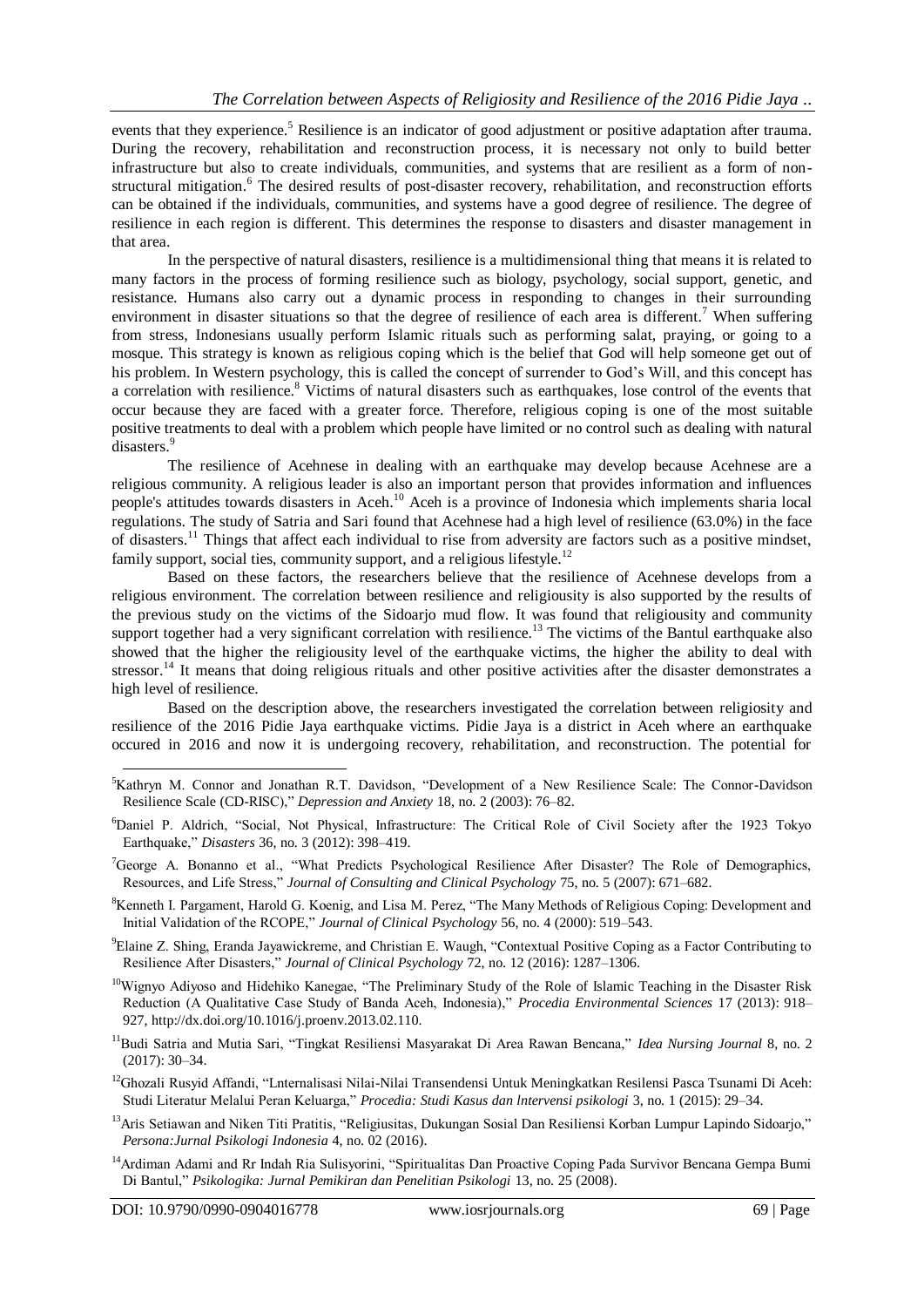events that they experience.<sup>5</sup> Resilience is an indicator of good adjustment or positive adaptation after trauma. During the recovery, rehabilitation and reconstruction process, it is necessary not only to build better infrastructure but also to create individuals, communities, and systems that are resilient as a form of nonstructural mitigation.<sup>6</sup> The desired results of post-disaster recovery, rehabilitation, and reconstruction efforts can be obtained if the individuals, communities, and systems have a good degree of resilience. The degree of resilience in each region is different. This determines the response to disasters and disaster management in that area.

In the perspective of natural disasters, resilience is a multidimensional thing that means it is related to many factors in the process of forming resilience such as biology, psychology, social support, genetic, and resistance. Humans also carry out a dynamic process in responding to changes in their surrounding environment in disaster situations so that the degree of resilience of each area is different.<sup>7</sup> When suffering from stress, Indonesians usually perform Islamic rituals such as performing salat, praying, or going to a mosque. This strategy is known as religious coping which is the belief that God will help someone get out of his problem. In Western psychology, this is called the concept of surrender to God's Will, and this concept has a correlation with resilience.<sup>8</sup> Victims of natural disasters such as earthquakes, lose control of the events that occur because they are faced with a greater force. Therefore, religious coping is one of the most suitable positive treatments to deal with a problem which people have limited or no control such as dealing with natural disasters.<sup>9</sup>

The resilience of Acehnese in dealing with an earthquake may develop because Acehnese are a religious community. A religious leader is also an important person that provides information and influences people's attitudes towards disasters in Aceh.<sup>10</sup> Aceh is a province of Indonesia which implements sharia local regulations. The study of Satria and Sari found that Acehnese had a high level of resilience (63.0%) in the face of disasters.<sup>11</sup> Things that affect each individual to rise from adversity are factors such as a positive mindset, family support, social ties, community support, and a religious lifestyle.<sup>12</sup>

Based on these factors, the researchers believe that the resilience of Acehnese develops from a religious environment. The correlation between resilience and religiousity is also supported by the results of the previous study on the victims of the Sidoarjo mud flow. It was found that religiousity and community support together had a very significant correlation with resilience.<sup>13</sup> The victims of the Bantul earthquake also showed that the higher the religiousity level of the earthquake victims, the higher the ability to deal with stressor.<sup>14</sup> It means that doing religious rituals and other positive activities after the disaster demonstrates a high level of resilience.

Based on the description above, the researchers investigated the correlation between religiosity and resilience of the 2016 Pidie Jaya earthquake victims. Pidie Jaya is a district in Aceh where an earthquake occured in 2016 and now it is undergoing recovery, rehabilitation, and reconstruction. The potential for

- <sup>6</sup>Daniel P. Aldrich, "Social, Not Physical, Infrastructure: The Critical Role of Civil Society after the 1923 Tokyo Earthquake," *Disasters* 36, no. 3 (2012): 398–419.
- <sup>7</sup>George A. Bonanno et al., "What Predicts Psychological Resilience After Disaster? The Role of Demographics, Resources, and Life Stress," *Journal of Consulting and Clinical Psychology* 75, no. 5 (2007): 671–682.
- <sup>8</sup>Kenneth I. Pargament, Harold G. Koenig, and Lisa M. Perez, "The Many Methods of Religious Coping: Development and Initial Validation of the RCOPE," *Journal of Clinical Psychology* 56, no. 4 (2000): 519–543.
- <sup>9</sup>Elaine Z. Shing, Eranda Jayawickreme, and Christian E. Waugh, "Contextual Positive Coping as a Factor Contributing to Resilience After Disasters," *Journal of Clinical Psychology* 72, no. 12 (2016): 1287–1306.
- <sup>10</sup>Wignyo Adiyoso and Hidehiko Kanegae, "The Preliminary Study of the Role of Islamic Teaching in the Disaster Risk Reduction (A Qualitative Case Study of Banda Aceh, Indonesia)," *Procedia Environmental Sciences* 17 (2013): 918– 927, http://dx.doi.org/10.1016/j.proenv.2013.02.110.
- <sup>11</sup>Budi Satria and Mutia Sari, "Tingkat Resiliensi Masyarakat Di Area Rawan Bencana," *Idea Nursing Journal* 8, no. 2 (2017): 30–34.
- <sup>12</sup>Ghozali Rusyid Affandi, "Lnternalisasi Nilai-Nilai Transendensi Untuk Meningkatkan Resilensi Pasca Tsunami Di Aceh: Studi Literatur Melalui Peran Keluarga," *Procedia: Studi Kasus dan lntervensi psikologi* 3, no. 1 (2015): 29–34.
- <sup>13</sup>Aris Setiawan and Niken Titi Pratitis, "Religiusitas, Dukungan Sosial Dan Resiliensi Korban Lumpur Lapindo Sidoarjo," *Persona:Jurnal Psikologi Indonesia* 4, no. 02 (2016).
- <sup>14</sup>Ardiman Adami and Rr Indah Ria Sulisyorini, "Spiritualitas Dan Proactive Coping Pada Survivor Bencana Gempa Bumi Di Bantul," *Psikologika: Jurnal Pemikiran dan Penelitian Psikologi* 13, no. 25 (2008).

<sup>&</sup>lt;sup>5</sup>Kathryn M. Connor and Jonathan R.T. Davidson, "Development of a New Resilience Scale: The Connor-Davidson Resilience Scale (CD-RISC)," *Depression and Anxiety* 18, no. 2 (2003): 76–82.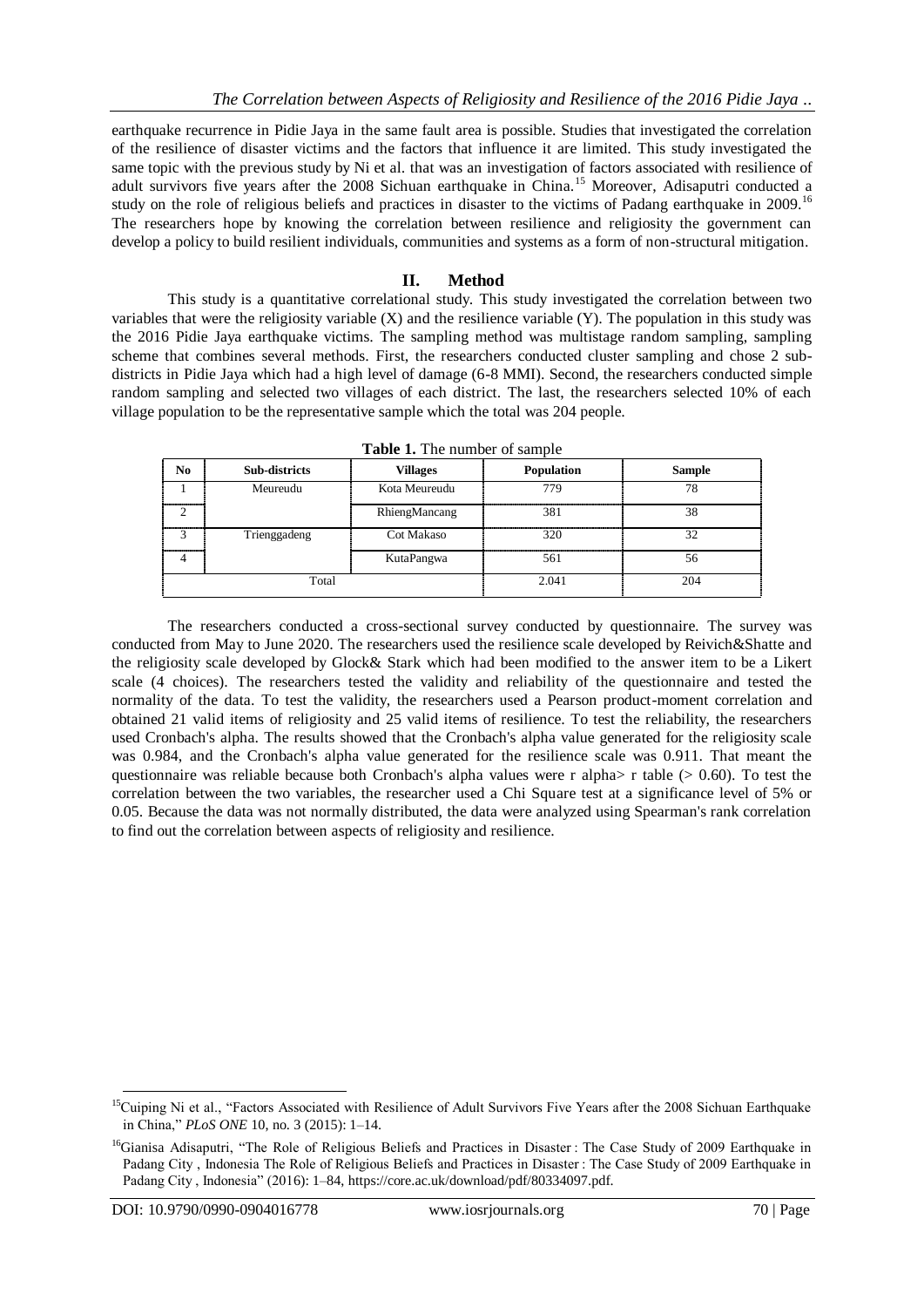earthquake recurrence in Pidie Jaya in the same fault area is possible. Studies that investigated the correlation of the resilience of disaster victims and the factors that influence it are limited. This study investigated the same topic with the previous study by Ni et al. that was an investigation of factors associated with resilience of adult survivors five years after the 2008 Sichuan earthquake in China.<sup>15</sup> Moreover, Adisaputri conducted a study on the role of religious beliefs and practices in disaster to the victims of Padang earthquake in 2009.<sup>16</sup> The researchers hope by knowing the correlation between resilience and religiosity the government can develop a policy to build resilient individuals, communities and systems as a form of non-structural mitigation.

# **II. Method**

This study is a quantitative correlational study. This study investigated the correlation between two variables that were the religiosity variable  $(X)$  and the resilience variable  $(Y)$ . The population in this study was the 2016 Pidie Jaya earthquake victims. The sampling method was multistage random sampling, sampling scheme that combines several methods. First, the researchers conducted cluster sampling and chose 2 subdistricts in Pidie Jaya which had a high level of damage (6-8 MMI). Second, the researchers conducted simple random sampling and selected two villages of each district. The last, the researchers selected 10% of each village population to be the representative sample which the total was 204 people.

| No.            | Sub-districts | <b>Villages</b>   | Population | <b>Sample</b> |
|----------------|---------------|-------------------|------------|---------------|
| ---------      | Meureudu      | Kota Meureudu     | 779        | 78            |
|                |               | RhiengMancang     | 381        | 38            |
| 3<br>--------- | Trienggadeng  | <b>Cot Makaso</b> | 320        | 32            |
|                |               | KutaPangwa        | 561        | 56            |
|                | Total         |                   | 2.041      | 204           |

**Table 1.** The number of sample

The researchers conducted a cross-sectional survey conducted by questionnaire. The survey was conducted from May to June 2020. The researchers used the resilience scale developed by Reivich&Shatte and the religiosity scale developed by Glock& Stark which had been modified to the answer item to be a Likert scale (4 choices). The researchers tested the validity and reliability of the questionnaire and tested the normality of the data. To test the validity, the researchers used a Pearson product-moment correlation and obtained 21 valid items of religiosity and 25 valid items of resilience. To test the reliability, the researchers used Cronbach's alpha. The results showed that the Cronbach's alpha value generated for the religiosity scale was 0.984, and the Cronbach's alpha value generated for the resilience scale was 0.911. That meant the questionnaire was reliable because both Cronbach's alpha values were r alpha $\geq$  r table ( $\geq$  0.60). To test the correlation between the two variables, the researcher used a Chi Square test at a significance level of 5% or 0.05. Because the data was not normally distributed, the data were analyzed using Spearman's rank correlation to find out the correlation between aspects of religiosity and resilience.

<sup>&</sup>lt;sup>15</sup>Cuiping Ni et al., "Factors Associated with Resilience of Adult Survivors Five Years after the 2008 Sichuan Earthquake in China," *PLoS ONE* 10, no. 3 (2015): 1–14.

<sup>&</sup>lt;sup>16</sup>Gianisa Adisaputri, "The Role of Religious Beliefs and Practices in Disaster : The Case Study of 2009 Earthquake in Padang City , Indonesia The Role of Religious Beliefs and Practices in Disaster : The Case Study of 2009 Earthquake in Padang City , Indonesia" (2016): 1–84, https://core.ac.uk/download/pdf/80334097.pdf.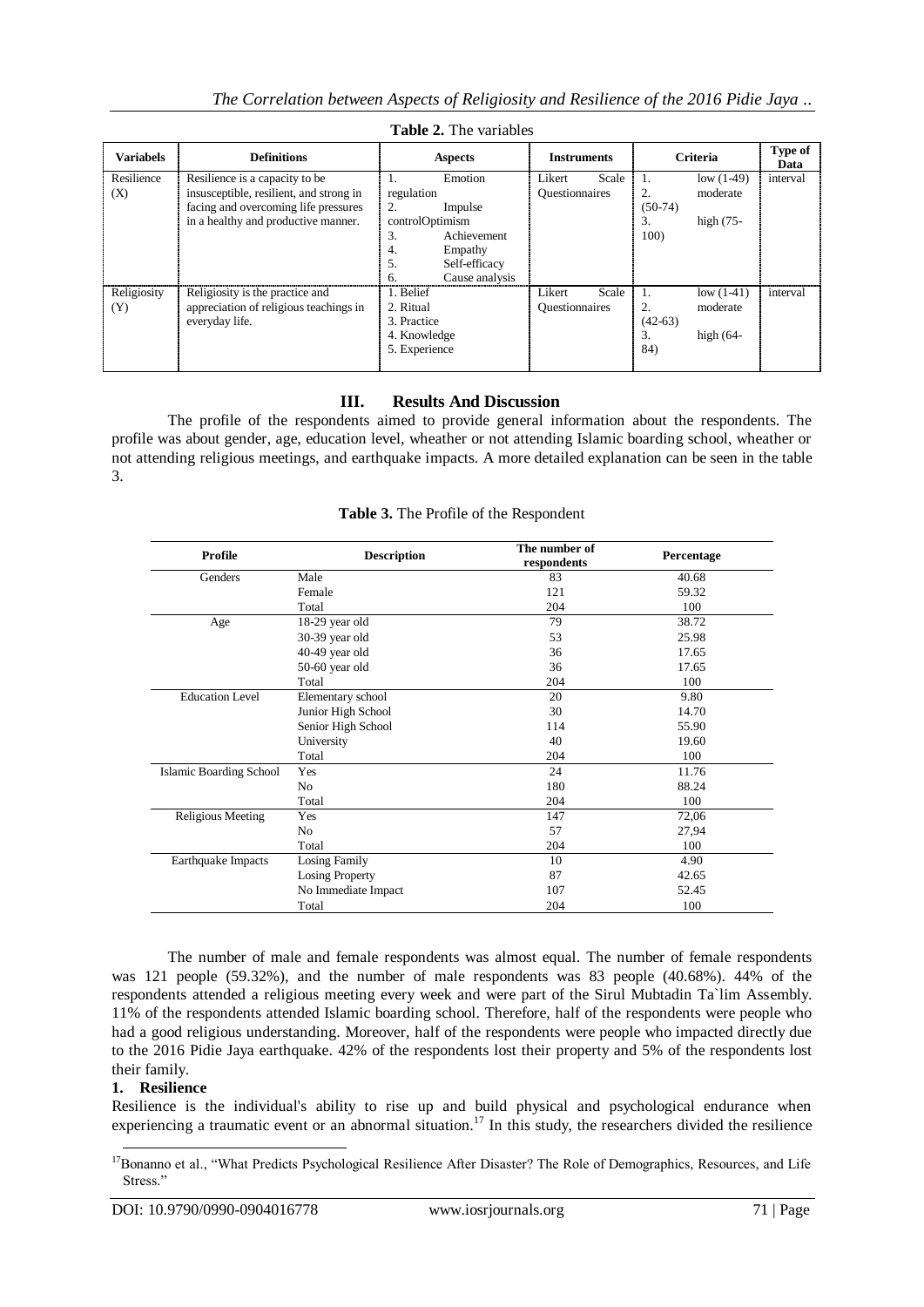| <b>Variabels</b>   | <b>Definitions</b>                                                                                                | <b>Aspects</b>                                                                                       | <b>Instruments</b>                       | <b>Criteria</b>                                                                           | Type of<br>Data |  |  |  |
|--------------------|-------------------------------------------------------------------------------------------------------------------|------------------------------------------------------------------------------------------------------|------------------------------------------|-------------------------------------------------------------------------------------------|-----------------|--|--|--|
| Resilience<br>(X)  | Resilience is a capacity to be<br>insusceptible, resilient, and strong in<br>facing and overcoming life pressures | Emotion<br>Ι.<br>regulation<br>2.<br>Impulse                                                         | Likert<br>Scale<br><b>Questionnaires</b> | low $(1-49)$<br>$\mathbf{1}$ .<br>2.<br>moderate<br>$(50-74)$                             | interval        |  |  |  |
|                    | in a healthy and productive manner.                                                                               | controlOptimism<br>Achievement<br>3.<br>Empathy<br>4.<br>5.<br>Self-efficacy<br>Cause analysis<br>6. |                                          | 3.<br>high $(75 -$<br>100 <sup>o</sup>                                                    |                 |  |  |  |
| Religiosity<br>(Y) | Religiosity is the practice and<br>appreciation of religious teachings in<br>everyday life.                       | 1. Belief<br>2. Ritual<br>3. Practice<br>4. Knowledge<br>5. Experience                               | Likert<br>Scale<br><b>Questionnaires</b> | low $(1-41)$<br>$\mathbf{1}$ .<br>2.<br>moderate<br>$(42-63)$<br>3.<br>high $(64-$<br>84) | interval        |  |  |  |

**Table 2.** The variables

# **III. Results And Discussion**

The profile of the respondents aimed to provide general information about the respondents. The profile was about gender, age, education level, wheather or not attending Islamic boarding school, wheather or not attending religious meetings, and earthquake impacts. A more detailed explanation can be seen in the table 3.

| Profile                        | <b>Description</b>  | The number of | Percentage |
|--------------------------------|---------------------|---------------|------------|
|                                |                     | respondents   |            |
| Genders                        | Male                | 83            | 40.68      |
|                                | Female              | 121           | 59.32      |
|                                | Total               | 204           | 100        |
| Age                            | 18-29 year old      | 79            | 38.72      |
|                                | 30-39 year old      | 53            | 25.98      |
|                                | 40-49 year old      | 36            | 17.65      |
|                                | 50-60 year old      | 36            | 17.65      |
|                                | Total               | 204           | 100        |
| <b>Education Level</b>         | Elementary school   | 20            | 9.80       |
|                                | Junior High School  | 30            | 14.70      |
|                                | Senior High School  | 114           | 55.90      |
|                                | University          | 40            | 19.60      |
|                                | Total               | 204           | 100        |
| <b>Islamic Boarding School</b> | Yes                 | 24            | 11.76      |
|                                | No                  | 180           | 88.24      |
|                                | Total               | 204           | 100        |
| <b>Religious Meeting</b>       | Yes                 | 147           | 72,06      |
|                                | No                  | 57            | 27,94      |
|                                | Total               | 204           | 100        |
| Earthquake Impacts             | Losing Family       | 10            | 4.90       |
|                                | Losing Property     | 87            | 42.65      |
|                                | No Immediate Impact | 107           | 52.45      |
|                                | Total               | 204           | 100        |

**Table 3.** The Profile of the Respondent

The number of male and female respondents was almost equal. The number of female respondents was 121 people (59.32%), and the number of male respondents was 83 people (40.68%). 44% of the respondents attended a religious meeting every week and were part of the Sirul Mubtadin Ta`lim Assembly. 11% of the respondents attended Islamic boarding school. Therefore, half of the respondents were people who had a good religious understanding. Moreover, half of the respondents were people who impacted directly due to the 2016 Pidie Jaya earthquake. 42% of the respondents lost their property and 5% of the respondents lost their family.

## **1. Resilience**

 $\overline{a}$ 

Resilience is the individual's ability to rise up and build physical and psychological endurance when experiencing a traumatic event or an abnormal situation.<sup>17</sup> In this study, the researchers divided the resilience

<sup>&</sup>lt;sup>17</sup>Bonanno et al., "What Predicts Psychological Resilience After Disaster? The Role of Demographics, Resources, and Life Stress."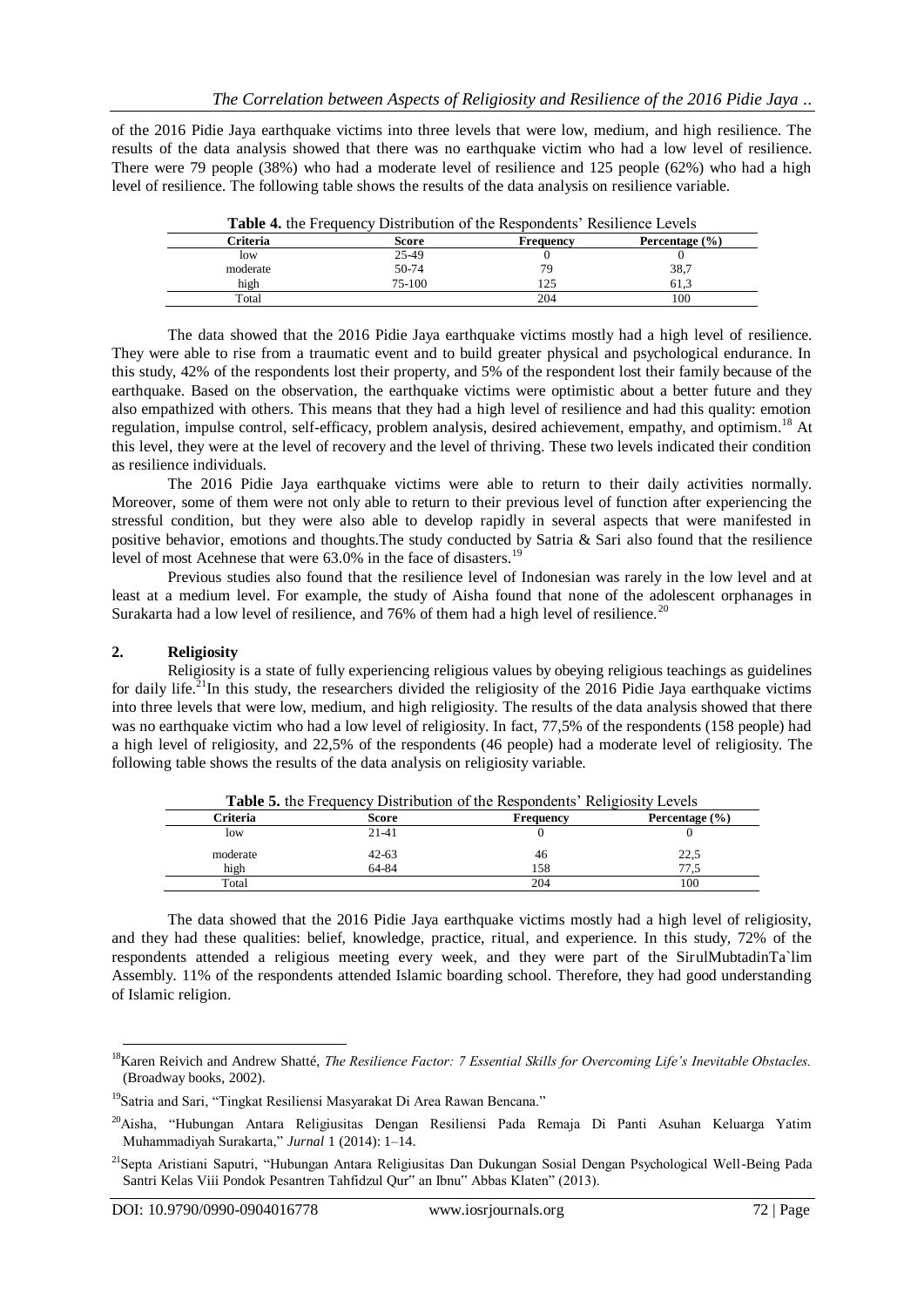of the 2016 Pidie Jaya earthquake victims into three levels that were low, medium, and high resilience. The results of the data analysis showed that there was no earthquake victim who had a low level of resilience. There were 79 people (38%) who had a moderate level of resilience and 125 people (62%) who had a high level of resilience. The following table shows the results of the data analysis on resilience variable.

| <b>Table 4.</b> the Frequency Distribution of the Respondents' Resilience Levels |         |           |                    |  |  |
|----------------------------------------------------------------------------------|---------|-----------|--------------------|--|--|
| Criteria                                                                         | Score   | Frequency | Percentage $(\% )$ |  |  |
| low                                                                              | 25-49   |           |                    |  |  |
| moderate                                                                         | $50-74$ | 79        | 38,7               |  |  |
| high                                                                             | 75-100  | 125       | 61.3               |  |  |
| Total                                                                            |         | 204       | 100                |  |  |

The data showed that the 2016 Pidie Jaya earthquake victims mostly had a high level of resilience. They were able to rise from a traumatic event and to build greater physical and psychological endurance. In this study, 42% of the respondents lost their property, and 5% of the respondent lost their family because of the earthquake. Based on the observation, the earthquake victims were optimistic about a better future and they also empathized with others. This means that they had a high level of resilience and had this quality: emotion regulation, impulse control, self-efficacy, problem analysis, desired achievement, empathy, and optimism.<sup>18</sup> At this level, they were at the level of recovery and the level of thriving. These two levels indicated their condition as resilience individuals.

The 2016 Pidie Jaya earthquake victims were able to return to their daily activities normally. Moreover, some of them were not only able to return to their previous level of function after experiencing the stressful condition, but they were also able to develop rapidly in several aspects that were manifested in positive behavior, emotions and thoughts.The study conducted by Satria & Sari also found that the resilience level of most Acehnese that were 63.0% in the face of disasters.<sup>19</sup>

Previous studies also found that the resilience level of Indonesian was rarely in the low level and at least at a medium level. For example, the study of Aisha found that none of the adolescent orphanages in Surakarta had a low level of resilience, and  $76\%$  of them had a high level of resilience.<sup>20</sup>

## **2. Religiosity**

Religiosity is a state of fully experiencing religious values by obeying religious teachings as guidelines for daily life.<sup>21</sup>In this study, the researchers divided the religiosity of the 2016 Pidie Jaya earthquake victims into three levels that were low, medium, and high religiosity. The results of the data analysis showed that there was no earthquake victim who had a low level of religiosity. In fact, 77,5% of the respondents (158 people) had a high level of religiosity, and 22,5% of the respondents (46 people) had a moderate level of religiosity. The following table shows the results of the data analysis on religiosity variable.

|          |           | <b>Table 5.</b> the Frequency Distribution of the Respondents' Religiosity Levels |                    |
|----------|-----------|-----------------------------------------------------------------------------------|--------------------|
| Criteria | Score     | Frequency                                                                         | Percentage $(\% )$ |
| low      | $21-41$   |                                                                                   |                    |
| moderate | $42 - 63$ | 46                                                                                | 22,5               |
| high     | 64-84     | 158                                                                               | 77.5               |
| Total    |           | 204                                                                               | 100                |

The data showed that the 2016 Pidie Jaya earthquake victims mostly had a high level of religiosity, and they had these qualities: belief, knowledge, practice, ritual, and experience. In this study, 72% of the respondents attended a religious meeting every week, and they were part of the SirulMubtadinTa`lim Assembly. 11% of the respondents attended Islamic boarding school. Therefore, they had good understanding of Islamic religion.

<sup>18</sup>Karen Reivich and Andrew Shatté, *The Resilience Factor: 7 Essential Skills for Overcoming Life's Inevitable Obstacles.* (Broadway books, 2002).

<sup>&</sup>lt;sup>19</sup>Satria and Sari, "Tingkat Resiliensi Masyarakat Di Area Rawan Bencana."

<sup>20</sup>Aisha, "Hubungan Antara Religiusitas Dengan Resiliensi Pada Remaja Di Panti Asuhan Keluarga Yatim Muhammadiyah Surakarta," *Jurnal* 1 (2014): 1–14.

<sup>21</sup>Septa Aristiani Saputri, "Hubungan Antara Religiusitas Dan Dukungan Sosial Dengan Psychological Well-Being Pada Santri Kelas Viii Pondok Pesantren Tahfidzul Qur" an Ibnu" Abbas Klaten" (2013).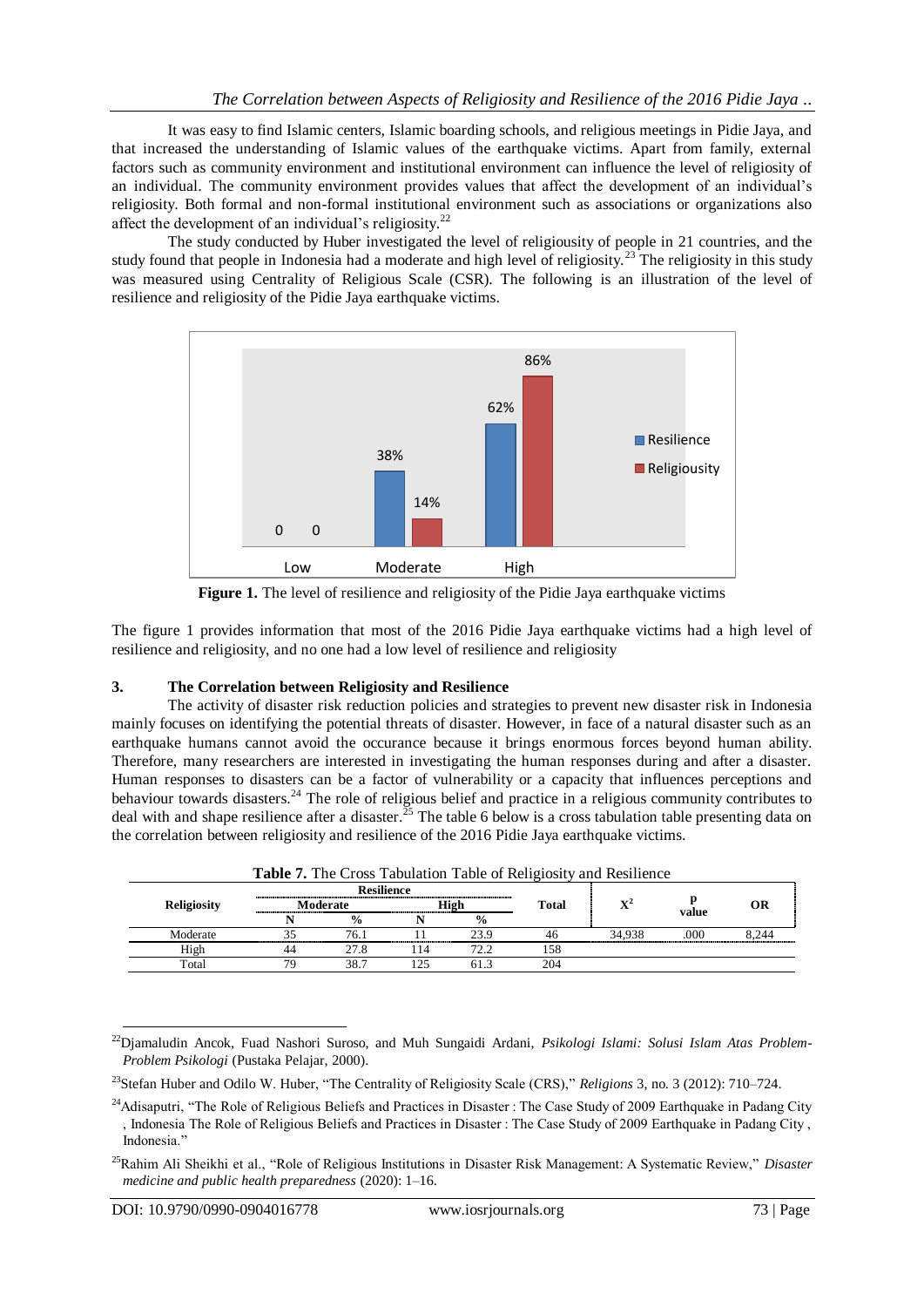It was easy to find Islamic centers, Islamic boarding schools, and religious meetings in Pidie Jaya, and that increased the understanding of Islamic values of the earthquake victims. Apart from family, external factors such as community environment and institutional environment can influence the level of religiosity of an individual. The community environment provides values that affect the development of an individual's religiosity. Both formal and non-formal institutional environment such as associations or organizations also affect the development of an individual's religiosity.<sup>22</sup>

The study conducted by Huber investigated the level of religiousity of people in 21 countries, and the study found that people in Indonesia had a moderate and high level of religiosity.<sup>23</sup> The religiosity in this study was measured using Centrality of Religious Scale (CSR). The following is an illustration of the level of resilience and religiosity of the Pidie Jaya earthquake victims.



**Figure 1.** The level of resilience and religiosity of the Pidie Java earthquake victims

The figure 1 provides information that most of the 2016 Pidie Jaya earthquake victims had a high level of resilience and religiosity, and no one had a low level of resilience and religiosity

## **3. The Correlation between Religiosity and Resilience**

The activity of disaster risk reduction policies and strategies to prevent new disaster risk in Indonesia mainly focuses on identifying the potential threats of disaster. However, in face of a natural disaster such as an earthquake humans cannot avoid the occurance because it brings enormous forces beyond human ability. Therefore, many researchers are interested in investigating the human responses during and after a disaster. Human responses to disasters can be a factor of vulnerability or a capacity that influences perceptions and behaviour towards disasters.<sup>24</sup> The role of religious belief and practice in a religious community contributes to deal with and shape resilience after a disaster.<sup>25</sup> The table 6 below is a cross tabulation table presenting data on the correlation between religiosity and resilience of the 2016 Pidie Jaya earthquake victims.

| <b>Resilience</b> |               |          |               |       |                |     |                                                                                   |
|-------------------|---------------|----------|---------------|-------|----------------|-----|-----------------------------------------------------------------------------------|
|                   |               |          |               | Total | $\mathbf{v}^2$ |     | ОR                                                                                |
|                   | $\frac{0}{0}$ |          | $\frac{6}{9}$ |       |                |     |                                                                                   |
|                   | 76.1          |          | 23.9          |       | 34.938         | 000 | 8.244                                                                             |
| 44                | 27.8          |          | 72 2          | 158   |                |     |                                                                                   |
|                   | 38.7          |          |               | 204   |                |     |                                                                                   |
|                   |               | Moderate |               | High  |                |     | <b>Table 7.</b> The Cross Tabulation Table of Religiosity and Resilience<br>value |

**Table 7.** The Cross Tabulation Table of Religiosity and Resilience

 $\overline{a}$ <sup>22</sup>Djamaludin Ancok, Fuad Nashori Suroso, and Muh Sungaidi Ardani, *Psikologi Islami: Solusi Islam Atas Problem-Problem Psikologi* (Pustaka Pelajar, 2000).

<sup>23</sup>Stefan Huber and Odilo W. Huber, "The Centrality of Religiosity Scale (CRS)," *Religions* 3, no. 3 (2012): 710–724.

<sup>&</sup>lt;sup>24</sup>Adisaputri, "The Role of Religious Beliefs and Practices in Disaster : The Case Study of 2009 Earthquake in Padang City , Indonesia The Role of Religious Beliefs and Practices in Disaster : The Case Study of 2009 Earthquake in Padang City , Indonesia."

<sup>25</sup>Rahim Ali Sheikhi et al., "Role of Religious Institutions in Disaster Risk Management: A Systematic Review," *Disaster medicine and public health preparedness* (2020): 1–16.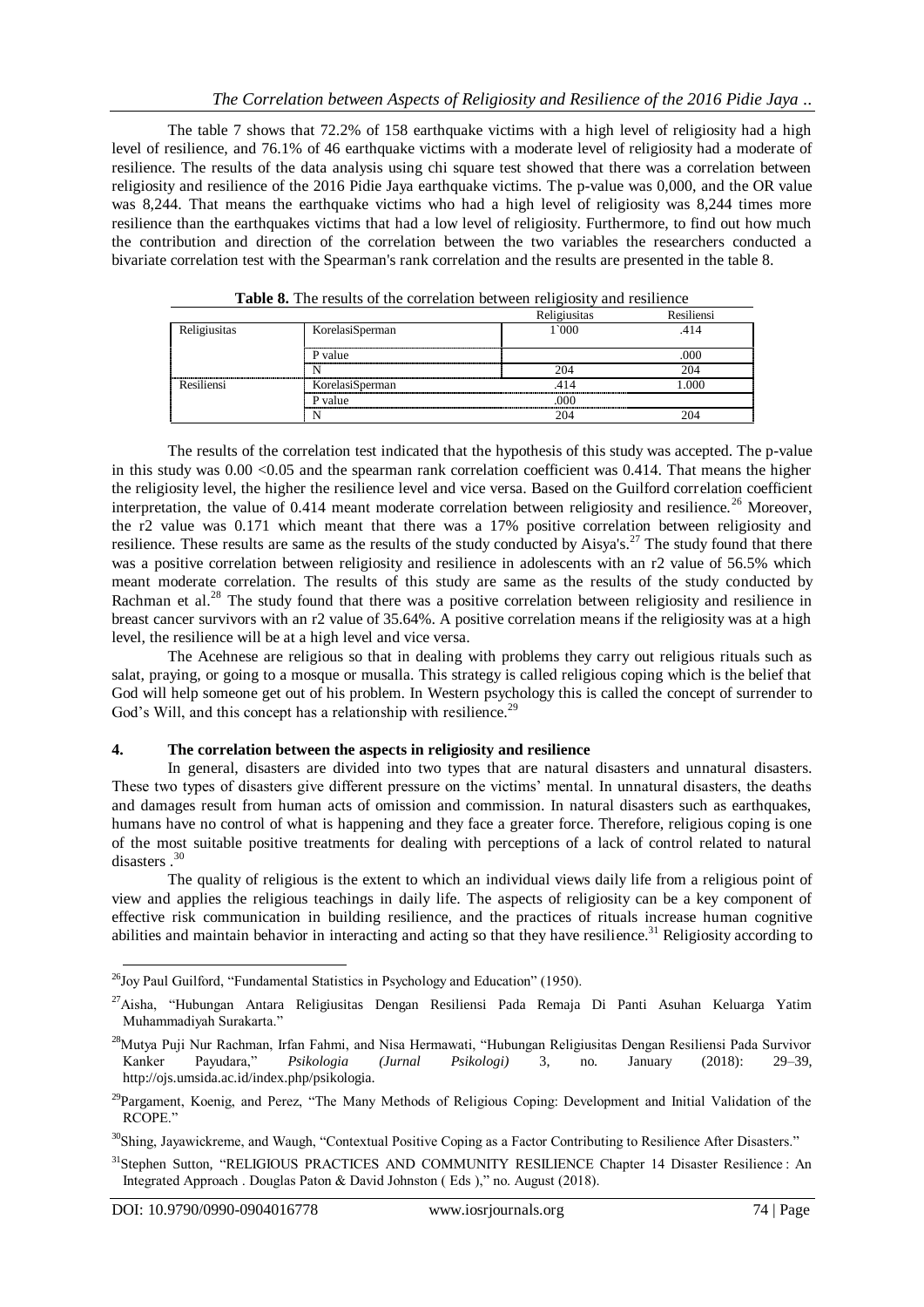The table 7 shows that 72.2% of 158 earthquake victims with a high level of religiosity had a high level of resilience, and 76.1% of 46 earthquake victims with a moderate level of religiosity had a moderate of resilience. The results of the data analysis using chi square test showed that there was a correlation between religiosity and resilience of the 2016 Pidie Jaya earthquake victims. The p-value was 0,000, and the OR value was 8,244. That means the earthquake victims who had a high level of religiosity was 8,244 times more resilience than the earthquakes victims that had a low level of religiosity. Furthermore, to find out how much the contribution and direction of the correlation between the two variables the researchers conducted a bivariate correlation test with the Spearman's rank correlation and the results are presented in the table 8.

|              |                 | Religiusitas | Resiliensi |
|--------------|-----------------|--------------|------------|
| Religiusitas | KorelasiSperman | 1`000        | .414       |
|              | P value         |              | 000        |
|              |                 | 204          | 204        |
| Resiliensi   | KorelasiSperman |              | 000        |
|              | P value         | າດເ          |            |
|              | Ν               | 204          |            |

**Table 8.** The results of the correlation between religiosity and resilience

The results of the correlation test indicated that the hypothesis of this study was accepted. The p-value in this study was  $0.00 \le 0.05$  and the spearman rank correlation coefficient was 0.414. That means the higher the religiosity level, the higher the resilience level and vice versa. Based on the Guilford correlation coefficient interpretation, the value of  $0.414$  meant moderate correlation between religiosity and resilience.<sup>26</sup> Moreover, the r2 value was 0.171 which meant that there was a 17% positive correlation between religiosity and resilience. These results are same as the results of the study conducted by Aisya's.<sup>27</sup> The study found that there was a positive correlation between religiosity and resilience in adolescents with an r2 value of 56.5% which meant moderate correlation. The results of this study are same as the results of the study conducted by Rachman et al.<sup>28</sup> The study found that there was a positive correlation between religiosity and resilience in breast cancer survivors with an r2 value of 35.64%. A positive correlation means if the religiosity was at a high level, the resilience will be at a high level and vice versa.

The Acehnese are religious so that in dealing with problems they carry out religious rituals such as salat, praying, or going to a mosque or musalla. This strategy is called religious coping which is the belief that God will help someone get out of his problem. In Western psychology this is called the concept of surrender to God's Will, and this concept has a relationship with resilience.<sup>29</sup>

#### **4. The correlation between the aspects in religiosity and resilience**

In general, disasters are divided into two types that are natural disasters and unnatural disasters. These two types of disasters give different pressure on the victims' mental. In unnatural disasters, the deaths and damages result from human acts of omission and commission. In natural disasters such as earthquakes, humans have no control of what is happening and they face a greater force. Therefore, religious coping is one of the most suitable positive treatments for dealing with perceptions of a lack of control related to natural disasters .<sup>30</sup>

The quality of religious is the extent to which an individual views daily life from a religious point of view and applies the religious teachings in daily life. The aspects of religiosity can be a key component of effective risk communication in building resilience, and the practices of rituals increase human cognitive abilities and maintain behavior in interacting and acting so that they have resilience.<sup>31</sup> Religiosity according to

 $^{26}$ Joy Paul Guilford, "Fundamental Statistics in Psychology and Education" (1950).

<sup>27</sup>Aisha, "Hubungan Antara Religiusitas Dengan Resiliensi Pada Remaja Di Panti Asuhan Keluarga Yatim Muhammadiyah Surakarta."

<sup>28</sup>Mutya Puji Nur Rachman, Irfan Fahmi, and Nisa Hermawati, "Hubungan Religiusitas Dengan Resiliensi Pada Survivor Kanker Payudara," *Psikologia (Jurnal Psikologi)* 3, no. January (2018): 29–39, http://ojs.umsida.ac.id/index.php/psikologia.

<sup>&</sup>lt;sup>29</sup>Pargament, Koenig, and Perez, "The Many Methods of Religious Coping: Development and Initial Validation of the RCOPE."

<sup>&</sup>lt;sup>30</sup>Shing, Jayawickreme, and Waugh, "Contextual Positive Coping as a Factor Contributing to Resilience After Disasters."

<sup>31</sup>Stephen Sutton, "RELIGIOUS PRACTICES AND COMMUNITY RESILIENCE Chapter 14 Disaster Resilience : An Integrated Approach . Douglas Paton & David Johnston ( Eds )," no. August (2018).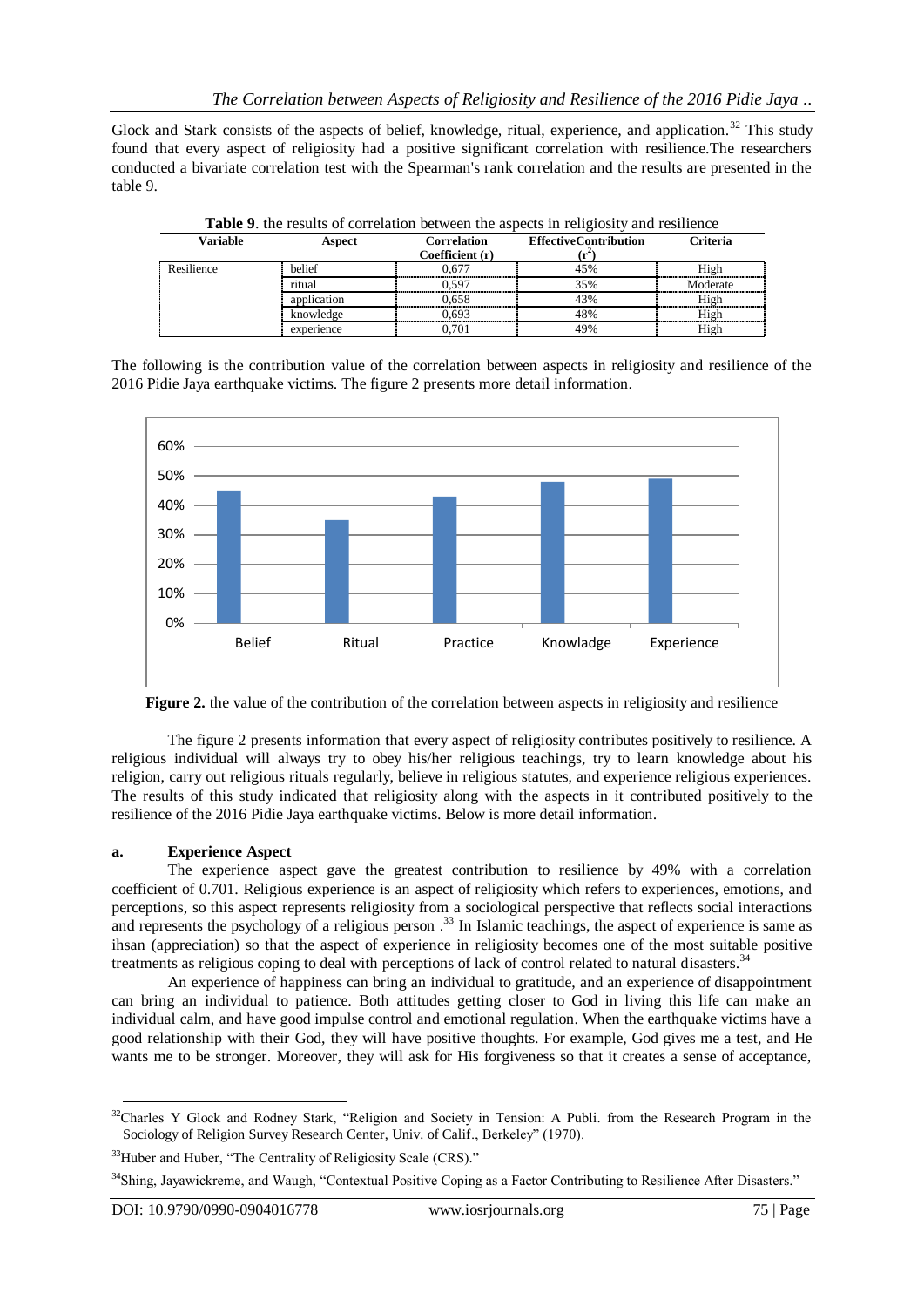Glock and Stark consists of the aspects of belief, knowledge, ritual, experience, and application.<sup>32</sup> This study found that every aspect of religiosity had a positive significant correlation with resilience.The researchers conducted a bivariate correlation test with the Spearman's rank correlation and the results are presented in the table 9.

| Variable   | Aspect      | Correlation<br>Coefficient (r) | <b>EffectiveContribution</b> | Criteria |
|------------|-------------|--------------------------------|------------------------------|----------|
| Resilience | belief      | 0.677                          | 45%                          | High     |
|            | ritual      | ገ 597                          | 35%                          | Moderate |
|            | application | 0.658                          | 43%                          | High     |
|            | knowledge   | 0.693                          | 48%                          | High     |
|            | experience  | 0.701                          | 49%                          | High     |

**Table 9**. the results of correlation between the aspects in religiosity and resilience

The following is the contribution value of the correlation between aspects in religiosity and resilience of the 2016 Pidie Jaya earthquake victims. The figure 2 presents more detail information.



**Figure 2.** the value of the contribution of the correlation between aspects in religiosity and resilience

The figure 2 presents information that every aspect of religiosity contributes positively to resilience. A religious individual will always try to obey his/her religious teachings, try to learn knowledge about his religion, carry out religious rituals regularly, believe in religious statutes, and experience religious experiences. The results of this study indicated that religiosity along with the aspects in it contributed positively to the resilience of the 2016 Pidie Jaya earthquake victims. Below is more detail information.

# **a. Experience Aspect**

The experience aspect gave the greatest contribution to resilience by 49% with a correlation coefficient of 0.701. Religious experience is an aspect of religiosity which refers to experiences, emotions, and perceptions, so this aspect represents religiosity from a sociological perspective that reflects social interactions and represents the psychology of a religious person .<sup>33</sup> In Islamic teachings, the aspect of experience is same as ihsan (appreciation) so that the aspect of experience in religiosity becomes one of the most suitable positive treatments as religious coping to deal with perceptions of lack of control related to natural disasters.<sup>34</sup>

An experience of happiness can bring an individual to gratitude, and an experience of disappointment can bring an individual to patience. Both attitudes getting closer to God in living this life can make an individual calm, and have good impulse control and emotional regulation. When the earthquake victims have a good relationship with their God, they will have positive thoughts. For example, God gives me a test, and He wants me to be stronger. Moreover, they will ask for His forgiveness so that it creates a sense of acceptance,

 $\overline{a}$  $32$ Charles Y Glock and Rodney Stark, "Religion and Society in Tension: A Publi. from the Research Program in the Sociology of Religion Survey Research Center, Univ. of Calif., Berkeley" (1970).

<sup>&</sup>lt;sup>33</sup>Huber and Huber, "The Centrality of Religiosity Scale (CRS)."

<sup>&</sup>lt;sup>34</sup>Shing, Jayawickreme, and Waugh, "Contextual Positive Coping as a Factor Contributing to Resilience After Disasters."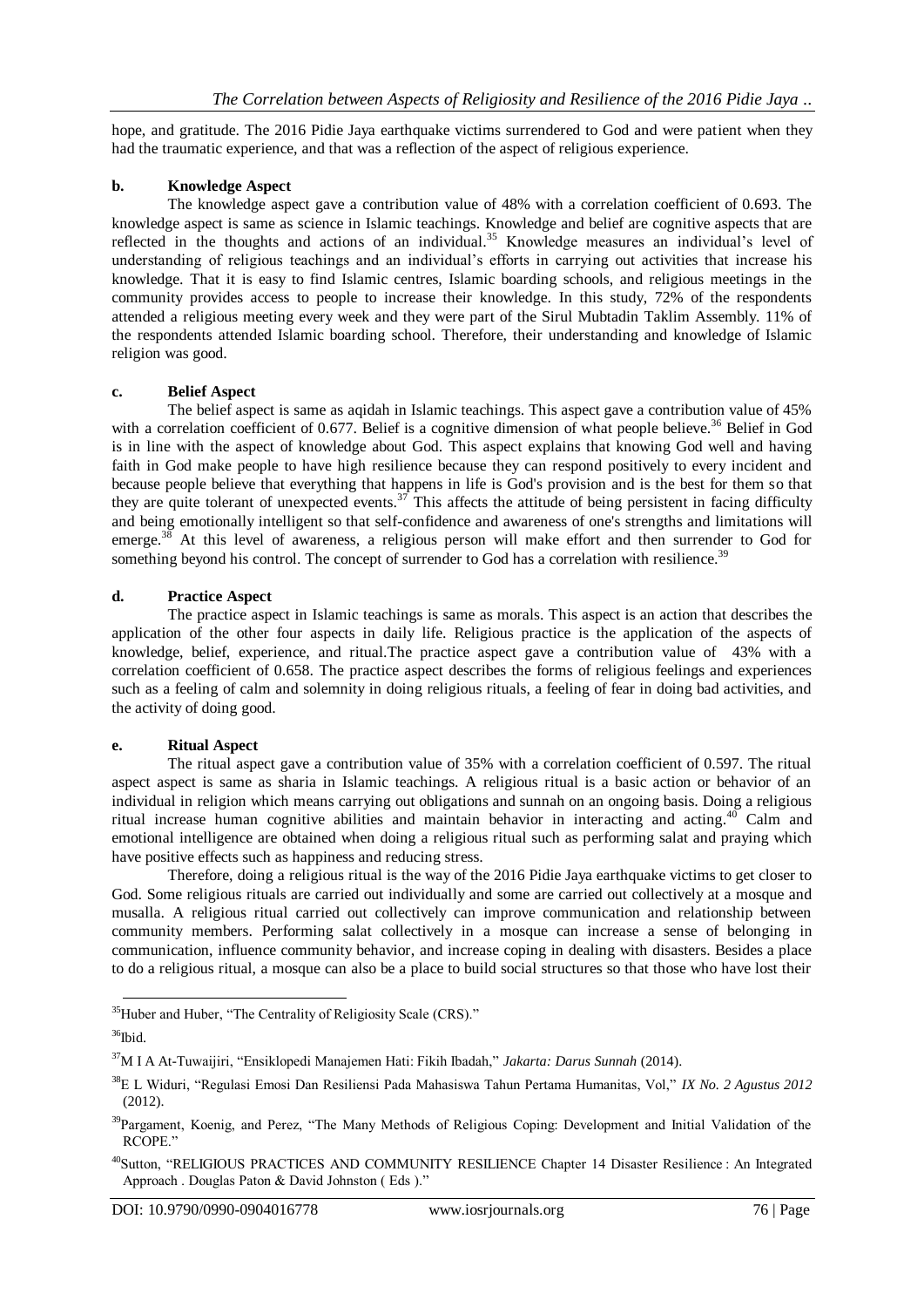hope, and gratitude. The 2016 Pidie Jaya earthquake victims surrendered to God and were patient when they had the traumatic experience, and that was a reflection of the aspect of religious experience.

## **b. Knowledge Aspect**

The knowledge aspect gave a contribution value of 48% with a correlation coefficient of 0.693. The knowledge aspect is same as science in Islamic teachings. Knowledge and belief are cognitive aspects that are reflected in the thoughts and actions of an individual.<sup>35</sup> Knowledge measures an individual's level of understanding of religious teachings and an individual's efforts in carrying out activities that increase his knowledge. That it is easy to find Islamic centres, Islamic boarding schools, and religious meetings in the community provides access to people to increase their knowledge. In this study, 72% of the respondents attended a religious meeting every week and they were part of the Sirul Mubtadin Taklim Assembly. 11% of the respondents attended Islamic boarding school. Therefore, their understanding and knowledge of Islamic religion was good.

## **c. Belief Aspect**

The belief aspect is same as aqidah in Islamic teachings. This aspect gave a contribution value of 45% with a correlation coefficient of 0.677. Belief is a cognitive dimension of what people believe.<sup>36</sup> Belief in God is in line with the aspect of knowledge about God. This aspect explains that knowing God well and having faith in God make people to have high resilience because they can respond positively to every incident and because people believe that everything that happens in life is God's provision and is the best for them so that they are quite tolerant of unexpected events.<sup>37</sup> This affects the attitude of being persistent in facing difficulty and being emotionally intelligent so that self-confidence and awareness of one's strengths and limitations will emerge.<sup>38</sup> At this level of awareness, a religious person will make effort and then surrender to God for something beyond his control. The concept of surrender to God has a correlation with resilience.<sup>39</sup>

## **d. Practice Aspect**

The practice aspect in Islamic teachings is same as morals. This aspect is an action that describes the application of the other four aspects in daily life. Religious practice is the application of the aspects of knowledge, belief, experience, and ritual.The practice aspect gave a contribution value of 43% with a correlation coefficient of 0.658. The practice aspect describes the forms of religious feelings and experiences such as a feeling of calm and solemnity in doing religious rituals, a feeling of fear in doing bad activities, and the activity of doing good.

## **e. Ritual Aspect**

The ritual aspect gave a contribution value of 35% with a correlation coefficient of 0.597. The ritual aspect aspect is same as sharia in Islamic teachings. A religious ritual is a basic action or behavior of an individual in religion which means carrying out obligations and sunnah on an ongoing basis. Doing a religious ritual increase human cognitive abilities and maintain behavior in interacting and acting. <sup>40</sup> Calm and emotional intelligence are obtained when doing a religious ritual such as performing salat and praying which have positive effects such as happiness and reducing stress.

Therefore, doing a religious ritual is the way of the 2016 Pidie Jaya earthquake victims to get closer to God. Some religious rituals are carried out individually and some are carried out collectively at a mosque and musalla. A religious ritual carried out collectively can improve communication and relationship between community members. Performing salat collectively in a mosque can increase a sense of belonging in communication, influence community behavior, and increase coping in dealing with disasters. Besides a place to do a religious ritual, a mosque can also be a place to build social structures so that those who have lost their

 $\overline{a}$ <sup>35</sup>Huber and Huber, "The Centrality of Religiosity Scale (CRS)."

 $36$ Ibid.

<sup>37</sup>M I A At-Tuwaijiri, "Ensiklopedi Manajemen Hati: Fikih Ibadah," *Jakarta: Darus Sunnah* (2014).

<sup>38</sup>E L Widuri, "Regulasi Emosi Dan Resiliensi Pada Mahasiswa Tahun Pertama Humanitas, Vol," *IX No. 2 Agustus 2012* (2012).

<sup>&</sup>lt;sup>39</sup>Pargament, Koenig, and Perez, "The Many Methods of Religious Coping: Development and Initial Validation of the RCOPE."

<sup>&</sup>lt;sup>40</sup>Sutton, "RELIGIOUS PRACTICES AND COMMUNITY RESILIENCE Chapter 14 Disaster Resilience : An Integrated Approach . Douglas Paton & David Johnston ( Eds )."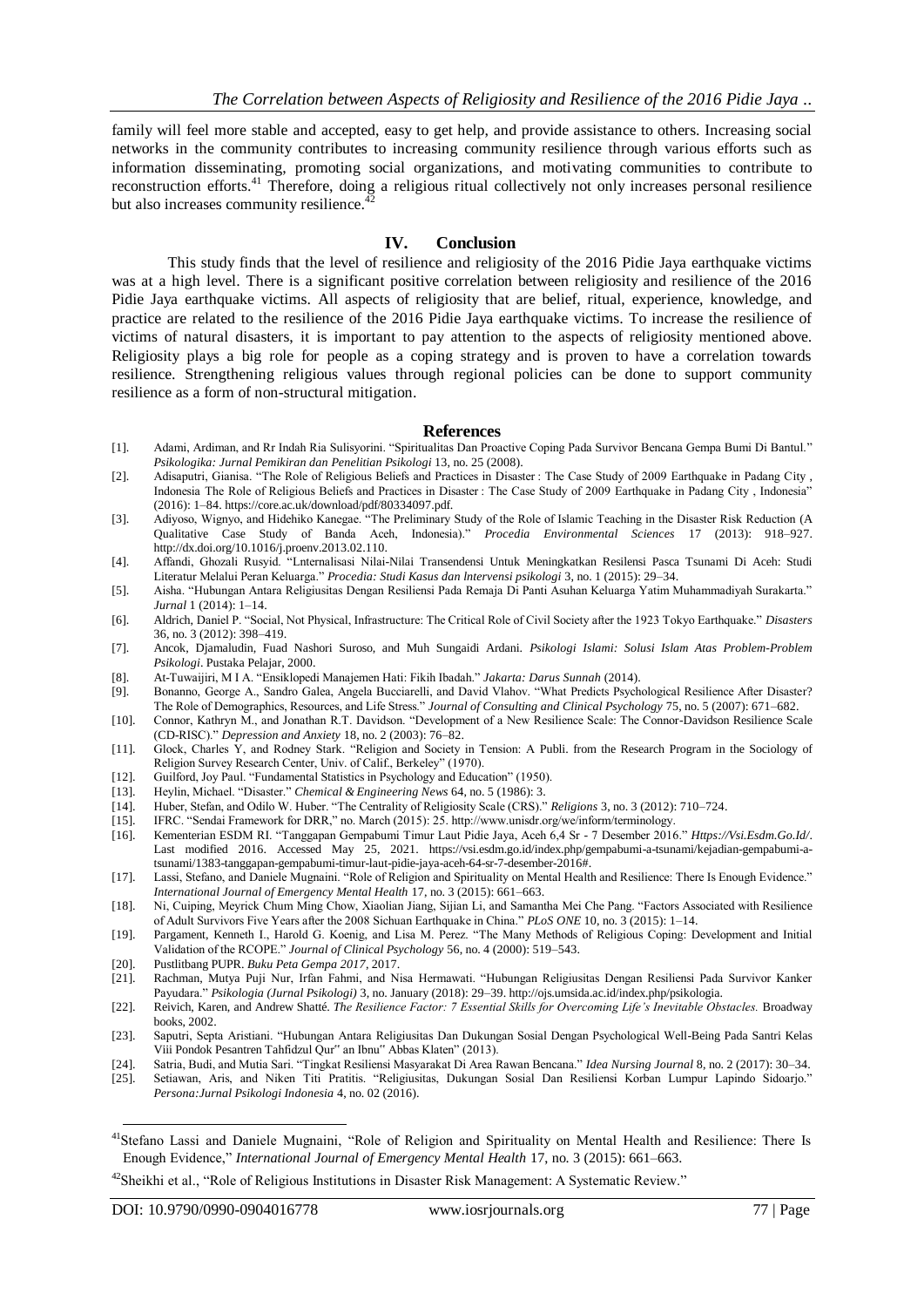family will feel more stable and accepted, easy to get help, and provide assistance to others. Increasing social networks in the community contributes to increasing community resilience through various efforts such as information disseminating, promoting social organizations, and motivating communities to contribute to reconstruction efforts.<sup>41</sup> Therefore, doing a religious ritual collectively not only increases personal resilience but also increases community resilience.<sup>42</sup>

#### **IV. Conclusion**

This study finds that the level of resilience and religiosity of the 2016 Pidie Jaya earthquake victims was at a high level. There is a significant positive correlation between religiosity and resilience of the 2016 Pidie Jaya earthquake victims. All aspects of religiosity that are belief, ritual, experience, knowledge, and practice are related to the resilience of the 2016 Pidie Jaya earthquake victims. To increase the resilience of victims of natural disasters, it is important to pay attention to the aspects of religiosity mentioned above. Religiosity plays a big role for people as a coping strategy and is proven to have a correlation towards resilience. Strengthening religious values through regional policies can be done to support community resilience as a form of non-structural mitigation.

#### **References**

- [1]. Adami, Ardiman, and Rr Indah Ria Sulisyorini. "Spiritualitas Dan Proactive Coping Pada Survivor Bencana Gempa Bumi Di Bantul." *Psikologika: Jurnal Pemikiran dan Penelitian Psikologi* 13, no. 25 (2008).
- [2]. Adisaputri, Gianisa. "The Role of Religious Beliefs and Practices in Disaster : The Case Study of 2009 Earthquake in Padang City , Indonesia The Role of Religious Beliefs and Practices in Disaster : The Case Study of 2009 Earthquake in Padang City , Indonesia" (2016): 1–84. https://core.ac.uk/download/pdf/80334097.pdf.
- [3]. Adiyoso, Wignyo, and Hidehiko Kanegae. "The Preliminary Study of the Role of Islamic Teaching in the Disaster Risk Reduction (A Qualitative Case Study of Banda Aceh, Indonesia)." *Procedia Environmental Sciences* 17 (2013): 918–927. http://dx.doi.org/10.1016/j.proenv.2013.02.110.
- [4]. Affandi, Ghozali Rusyid. "Lnternalisasi Nilai-Nilai Transendensi Untuk Meningkatkan Resilensi Pasca Tsunami Di Aceh: Studi Literatur Melalui Peran Keluarga." *Procedia: Studi Kasus dan lntervensi psikologi* 3, no. 1 (2015): 29–34.
- [5]. Aisha. "Hubungan Antara Religiusitas Dengan Resiliensi Pada Remaja Di Panti Asuhan Keluarga Yatim Muhammadiyah Surakarta." *Jurnal* 1 (2014): 1–14.
- [6]. Aldrich, Daniel P. "Social, Not Physical, Infrastructure: The Critical Role of Civil Society after the 1923 Tokyo Earthquake." *Disasters* 36, no. 3 (2012): 398–419.
- [7]. Ancok, Djamaludin, Fuad Nashori Suroso, and Muh Sungaidi Ardani. *Psikologi Islami: Solusi Islam Atas Problem-Problem Psikologi*. Pustaka Pelajar, 2000.
- [8]. At-Tuwaijiri, M I A. "Ensiklopedi Manajemen Hati: Fikih Ibadah." *Jakarta: Darus Sunnah* (2014).
- [9]. Bonanno, George A., Sandro Galea, Angela Bucciarelli, and David Vlahov. "What Predicts Psychological Resilience After Disaster? The Role of Demographics, Resources, and Life Stress." *Journal of Consulting and Clinical Psychology* 75, no. 5 (2007): 671–682.
- [10]. Connor, Kathryn M., and Jonathan R.T. Davidson. "Development of a New Resilience Scale: The Connor-Davidson Resilience Scale (CD-RISC)." *Depression and Anxiety* 18, no. 2 (2003): 76–82.
- [11]. Glock, Charles Y, and Rodney Stark. "Religion and Society in Tension: A Publi. from the Research Program in the Sociology of Religion Survey Research Center, Univ. of Calif., Berkeley" (1970).
- [12]. Guilford, Joy Paul. "Fundamental Statistics in Psychology and Education" (1950).
- [13]. Heylin, Michael. "Disaster." *Chemical & Engineering News* 64, no. 5 (1986): 3.
- [14]. Huber, Stefan, and Odilo W. Huber. "The Centrality of Religiosity Scale (CRS)." *Religions* 3, no. 3 (2012): 710–724.
- [15]. IFRC. "Sendai Framework for DRR," no. March (2015): 25. http://www.unisdr.org/we/inform/terminology.
- [16]. Kementerian ESDM RI. "Tanggapan Gempabumi Timur Laut Pidie Jaya, Aceh 6,4 Sr 7 Desember 2016." *Https://Vsi.Esdm.Go.Id/*. Last modified 2016. Accessed May 25, 2021. https://vsi.esdm.go.id/index.php/gempabumi-a-tsunami/kejadian-gempabumi-atsunami/1383-tanggapan-gempabumi-timur-laut-pidie-jaya-aceh-64-sr-7-desember-2016#.
- [17]. Lassi, Stefano, and Daniele Mugnaini. "Role of Religion and Spirituality on Mental Health and Resilience: There Is Enough Evidence." *International Journal of Emergency Mental Health* 17, no. 3 (2015): 661–663.
- [18]. Ni, Cuiping, Meyrick Chum Ming Chow, Xiaolian Jiang, Sijian Li, and Samantha Mei Che Pang. "Factors Associated with Resilience of Adult Survivors Five Years after the 2008 Sichuan Earthquake in China." *PLoS ONE* 10, no. 3 (2015): 1–14.
- [19]. Pargament, Kenneth I., Harold G. Koenig, and Lisa M. Perez. "The Many Methods of Religious Coping: Development and Initial Validation of the RCOPE." *Journal of Clinical Psychology* 56, no. 4 (2000): 519–543.
- [20]. Pustlitbang PUPR. *Buku Peta Gempa 2017*, 2017.
- [21]. Rachman, Mutya Puji Nur, Irfan Fahmi, and Nisa Hermawati. "Hubungan Religiusitas Dengan Resiliensi Pada Survivor Kanker Payudara." *Psikologia (Jurnal Psikologi)* 3, no. January (2018): 29–39. http://ojs.umsida.ac.id/index.php/psikologia.
- [22]. Reivich, Karen, and Andrew Shatté. *The Resilience Factor: 7 Essential Skills for Overcoming Life's Inevitable Obstacles.* Broadway books, 2002.
- [23]. Saputri, Septa Aristiani. "Hubungan Antara Religiusitas Dan Dukungan Sosial Dengan Psychological Well-Being Pada Santri Kelas Viii Pondok Pesantren Tahfidzul Qur" an Ibnu" Abbas Klaten" (2013).
- [24]. Satria, Budi, and Mutia Sari. "Tingkat Resiliensi Masyarakat Di Area Rawan Bencana." *Idea Nursing Journal* 8, no. 2 (2017): 30–34.
- [25]. Setiawan, Aris, and Niken Titi Pratitis. "Religiusitas, Dukungan Sosial Dan Resiliensi Korban Lumpur Lapindo Sidoarjo." *Persona:Jurnal Psikologi Indonesia* 4, no. 02 (2016).

<sup>41</sup>Stefano Lassi and Daniele Mugnaini, "Role of Religion and Spirituality on Mental Health and Resilience: There Is Enough Evidence," *International Journal of Emergency Mental Health* 17, no. 3 (2015): 661–663.

<sup>&</sup>lt;sup>42</sup>Sheikhi et al., "Role of Religious Institutions in Disaster Risk Management: A Systematic Review."